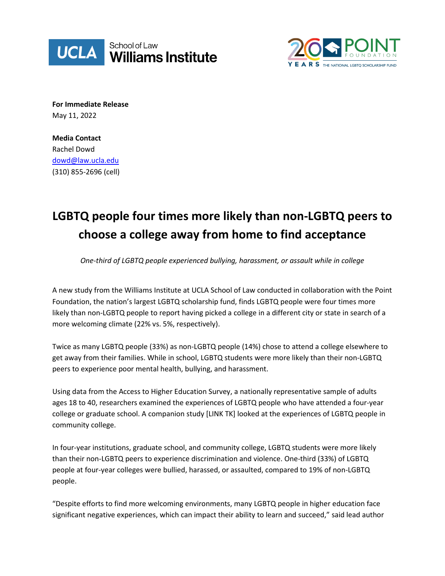



**For Immediate Release** May 11, 2022

**Media Contact** Rachel Dowd [dowd@law.ucla.edu](mailto:dowd@law.ucla.edu) (310) 855-2696 (cell)

# **LGBTQ people four times more likely than non-LGBTQ peers to choose a college away from home to find acceptance**

*One-third of LGBTQ people experienced bullying, harassment, or assault while in college*

A new study from the Williams Institute at UCLA School of Law conducted in collaboration with the Point Foundation, the nation's largest LGBTQ scholarship fund, finds LGBTQ people were four times more likely than non-LGBTQ people to report having picked a college in a different city or state in search of a more welcoming climate (22% vs. 5%, respectively).

Twice as many LGBTQ people (33%) as non-LGBTQ people (14%) chose to attend a college elsewhere to get away from their families. While in school, LGBTQ students were more likely than their non-LGBTQ peers to experience poor mental health, bullying, and harassment.

Using data from the Access to Higher Education Survey, a nationally representative sample of adults ages 18 to 40, researchers examined the experiences of LGBTQ people who have attended a four-year college or graduate school. A companion study [LINK TK] looked at the experiences of LGBTQ people in community college.

In four-year institutions, graduate school, and community college, LGBTQ students were more likely than their non-LGBTQ peers to experience discrimination and violence. One-third (33%) of LGBTQ people at four-year colleges were bullied, harassed, or assaulted, compared to 19% of non-LGBTQ people.

"Despite efforts to find more welcoming environments, many LGBTQ people in higher education face significant negative experiences, which can impact their ability to learn and succeed," said lead author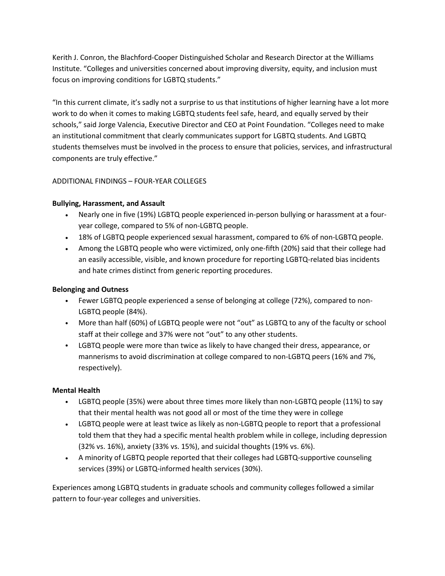Kerith J. Conron, the Blachford-Cooper Distinguished Scholar and Research Director at the Williams Institute. "Colleges and universities concerned about improving diversity, equity, and inclusion must focus on improving conditions for LGBTQ students."

"In this current climate, it's sadly not a surprise to us that institutions of higher learning have a lot more work to do when it comes to making LGBTQ students feel safe, heard, and equally served by their schools," said Jorge Valencia, Executive Director and CEO at Point Foundation. "Colleges need to make an institutional commitment that clearly communicates support for LGBTQ students. And LGBTQ students themselves must be involved in the process to ensure that policies, services, and infrastructural components are truly effective."

## ADDITIONAL FINDINGS – FOUR-YEAR COLLEGES

### **Bullying, Harassment, and Assault**

- Nearly one in five (19%) LGBTQ people experienced in-person bullying or harassment at a fouryear college, compared to 5% of non-LGBTQ people.
- 18% of LGBTQ people experienced sexual harassment, compared to 6% of non-LGBTQ people.
- Among the LGBTQ people who were victimized, only one-fifth (20%) said that their college had an easily accessible, visible, and known procedure for reporting LGBTQ-related bias incidents and hate crimes distinct from generic reporting procedures.

#### **Belonging and Outness**

- Fewer LGBTQ people experienced a sense of belonging at college (72%), compared to non-LGBTQ people (84%).
- More than half (60%) of LGBTQ people were not "out" as LGBTQ to any of the faculty or school staff at their college and 37% were not "out" to any other students.
- LGBTQ people were more than twice as likely to have changed their dress, appearance, or mannerisms to avoid discrimination at college compared to non-LGBTQ peers (16% and 7%, respectively).

### **Mental Health**

- LGBTQ people (35%) were about three times more likely than non-LGBTQ people (11%) to say that their mental health was not good all or most of the time they were in college
- LGBTQ people were at least twice as likely as non-LGBTQ people to report that a professional told them that they had a specific mental health problem while in college, including depression (32% vs. 16%), anxiety (33% vs. 15%), and suicidal thoughts (19% vs. 6%).
- A minority of LGBTQ people reported that their colleges had LGBTQ-supportive counseling services (39%) or LGBTQ-informed health services (30%).

Experiences among LGBTQ students in graduate schools and community colleges followed a similar pattern to four-year colleges and universities.